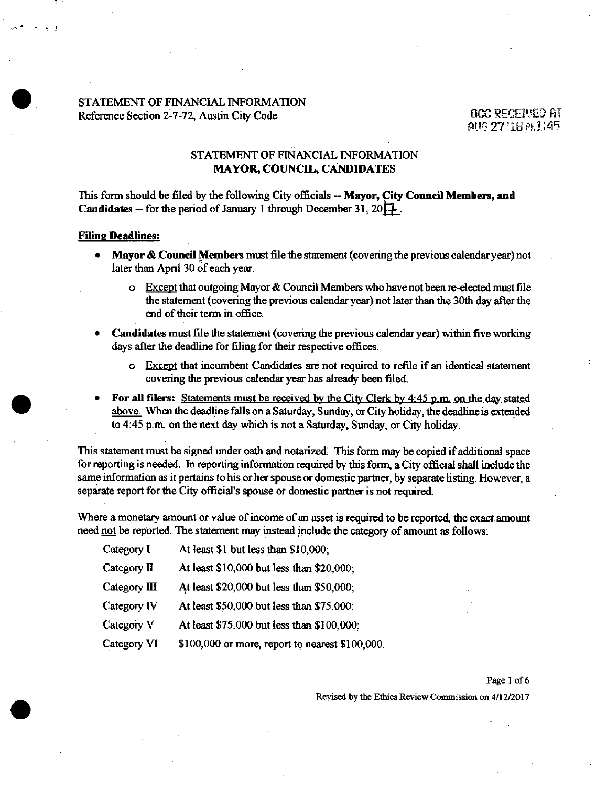#### STATEMENT OF FINANCIAL INFORMATION Reference Section 2-7-72, Austin City Code 0CC REGEIVED AT

aim 77 '18 PH1:45

### **STATEMENT OF FINANCIAL INFORMATION MAYOR, COUNCIL, CANDIDATES**

This form should be filed by the following City officials -- Mayor, City Council Members, and **Candidates -- for the period of January 1 through December 31, 20** $\Box$ **.** 

#### **Filing Deadlines:**

- Mayor & Council Members must file the statement (covering the previous calendar year) not later than April 30 of each year.
	- $\circ$  Except that outgoing Mayor & Council Members who have not been re-elected must file the statemait (covering the previous calendar year) not later than the 30th day after the end of their term in office.
- Candidates must file the statement (covering the previous calendar year) within five working days after the deadline for filing for their respective offices.
	- o Except that incumbent Candidates are not required to refile if an identical statement covering the previous calendar year has already been filed.
- For all filers: Statements must be received by the City Clerk by 4:45 p.m. on the day stated above. When the deadline falls on a Saturday, Sunday, or City holiday, the deadline is extended to 4:45 p.m. on the next day which is not a Saturday, Sunday, or City holiday.

This statement must be signed under oath and notarized; This form may be copied if additional space for reporting is needed. In reporting information required by this form, a City official shall include the same information as it pertains to his or her spouse or domestic partner, by separate listing. However, a separate report for the City official's spouse or domestic partner is not required.

Where a monetary amount or value of income of an asset is required to be reported, the exact amount need not be reported. The statement may instead include the category of amount as follows:

| Category I             | At least \$1 but less than \$10,000;            |
|------------------------|-------------------------------------------------|
| Category II            | At least \$10,000 but less than \$20,000;       |
| Category $\mathbf{II}$ | At least \$20,000 but less than \$50,000;       |
| Category IV            | At least \$50,000 but less than \$75.000;       |
| Category V             | At least \$75.000 but less than \$100,000;      |
| Category VI            | \$100,000 or more, report to nearest \$100,000. |

Page 1 of 6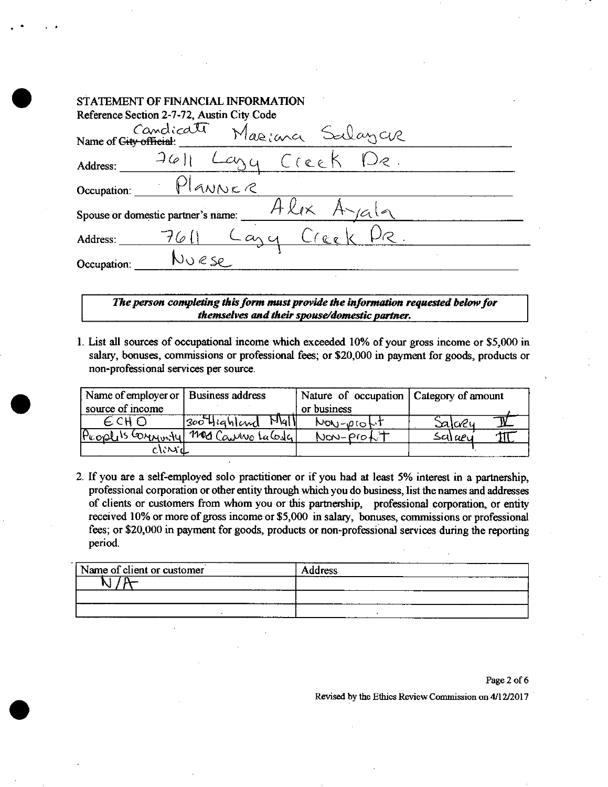|             | STATEMENT OF FINANCIAL INFORMATION              |  |
|-------------|-------------------------------------------------|--|
|             | Reference Section 2-7-72, Austin City Code      |  |
|             | Candicate<br>Mariana Salayar                    |  |
| Address:    | $J(\varphi)$<br>Creek<br>$\cup_{\mathcal{C}}$ . |  |
| Occupation: | Planne e                                        |  |
|             | Spouse or domestic partner's name:              |  |
| Address:    | $L$ any<br>$C_{\ell_{\mathcal{L}}}$             |  |
| Occupation: | JURSR                                           |  |
|             |                                                 |  |

The person completing this form must provide the information requested below for *themselves and their spouse/domestic partner.* 

1. List all sources of occupational income which exceeded 10% of your gross income or \$5,000 in salary, bonuses, commissions or professional fees; or \$20,000 in payment for goods, products or non-professional services per source.

| Name of employer or   Business address |                                     | Nature of occupation   Category of amount |         |
|----------------------------------------|-------------------------------------|-------------------------------------------|---------|
| source of income                       |                                     | or business                               |         |
|                                        | $M_{\rm 4}$<br>$ 300$ Highland      | NON-profit                                | Salcreu |
|                                        | Prophis Connunty 1100 Canino Lalosa | Non-Proft                                 | Salaeu  |
| clinid                                 |                                     |                                           |         |

2. If you are a self-employed solo practitioner or if you had at least 5% interest in a partnership, professional corporation or other entity through which you do business, list the names and addresses of clients or customers from whom you or this partnership, professional corporation, or entity received 10% or more of gross income or \$5,000 in salary, bonuses, commissions or professional fees; or \$20,000 in payment for goods, products or non-professional services during the reporting period.

| Name of client or customer | Address |
|----------------------------|---------|
|                            |         |
|                            |         |
|                            |         |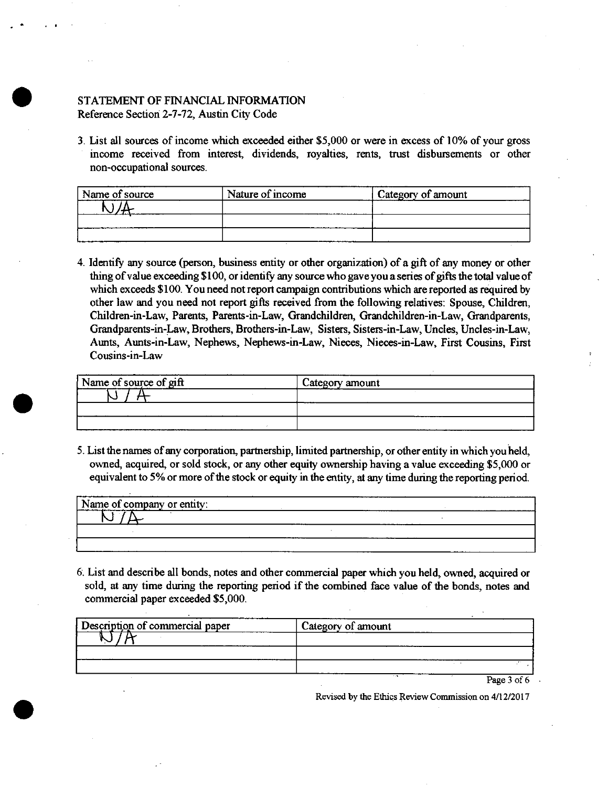# STATEMENT OF FINANCIAL INFORMATION Reference Section 2-7-72, Austin City Code

3. List all sources of income which exceeded either \$5,000 or were in excess of 10% of your gross income received from interest, dividends, royalties, rents, trust disbursements or other non-occupational sources.

| Name of source | Nature of income | Category of amount |
|----------------|------------------|--------------------|
|                |                  |                    |
|                |                  |                    |
|                |                  |                    |

4. Identify any source (person, business entity or other organization) of a gift of any money or other thing of value exceeding \$ 100, or identify any source who gave you a series of gifts the total value of which exceeds \$100. You need not report campaign contributions which are reported as required by other law and you need not report gifts received from the following relatives: Spouse, Children, Children-in-Law, Parents, Parents-in-Law, Grandchildren, Grandchildren-in-Law, Grandparents, Grandparents-in-Law, Brothers, Brothers-in-Law, Sisters, Sisters-in-Law, Uncles, Uncles-in-Law, Aunts, Aunts-in-Law, Nephews, Nephews-in-Law, Nieces, Nieces-in-Law, First Cousins, First Cousins-in-Law

| Name of source of gift | Category amount |
|------------------------|-----------------|
|                        |                 |
|                        |                 |
|                        | ----            |

5. List the names of any corporation, partnership, limited partnership, or other entity in which you held, owned, acquired, or sold stock, or any other equity ownership having a value exceeding \$5,000 or equivalent to 5% or more of the stock or equity in the entity, at any time during the reporting period.

| Name of company or entity: | .     | . |
|----------------------------|-------|---|
|                            |       |   |
|                            | ----- |   |
|                            |       |   |

6. List and describe all bonds, notes and other commercial paper whidi you held, owned, acquired or sold, at any time during the reporting period if the combined face value of the bonds, notes and commercial paper exceeded \$5,000.

| Description of commercial paper | Category of amount |             |
|---------------------------------|--------------------|-------------|
|                                 |                    |             |
|                                 |                    |             |
|                                 |                    |             |
|                                 |                    | Page 3 of 6 |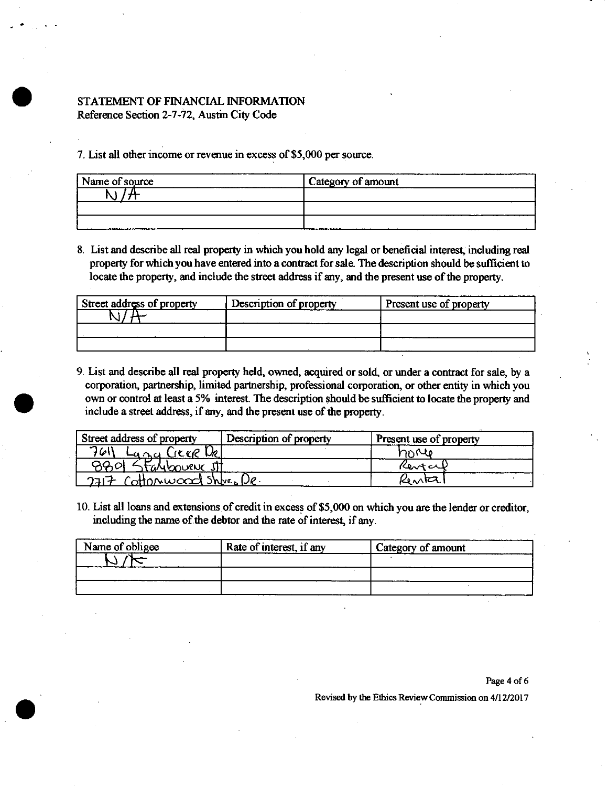# STATEMENT OF FINANCIAL INFORMATION Reference Section 2-7-72, Austin City Code

7. List all other income or revenue in excess of \$5,000 per source.

| Name of source | Category of amount |
|----------------|--------------------|
|                |                    |
|                |                    |
|                |                    |

8. List and describe all real property in which you hold any legal or beneficial interest, including real property for which you have entered into a contract for sale. The description should be sufficient to locate the property, and include the street address if any, and the present use of the property.

| Street address of property | Description of property | Present use of property |
|----------------------------|-------------------------|-------------------------|
|                            |                         |                         |
|                            |                         |                         |
|                            |                         |                         |

9. List and describe all real property held, owned, acquired or sold, or under a contract for sale, by a corporation, partnership, limited partnership, professional corporation, or other entity in which you own or control at least a 5% interest. The description should be sufficient to locate the property and include a street address, if any, and the present use of the property.

| Street address of property | Description of property | Present use of property |
|----------------------------|-------------------------|-------------------------|
| 7611<br><u>آددری</u>       |                         | horle                   |
| taAlboueNc JI              |                         | Kentcul                 |
| つコロチ<br>offonwood Shbes De |                         | Kenta                   |

10. List all loans and extensions of credit in excess of \$5,000 on which you are the lender or creditor, including the name of the debtor and the rate of interest, if any.

| Name of obligee | Rate of interest, if any | Category of amount |
|-----------------|--------------------------|--------------------|
|                 |                          |                    |
|                 |                          |                    |
|                 |                          |                    |

Page 4 of 6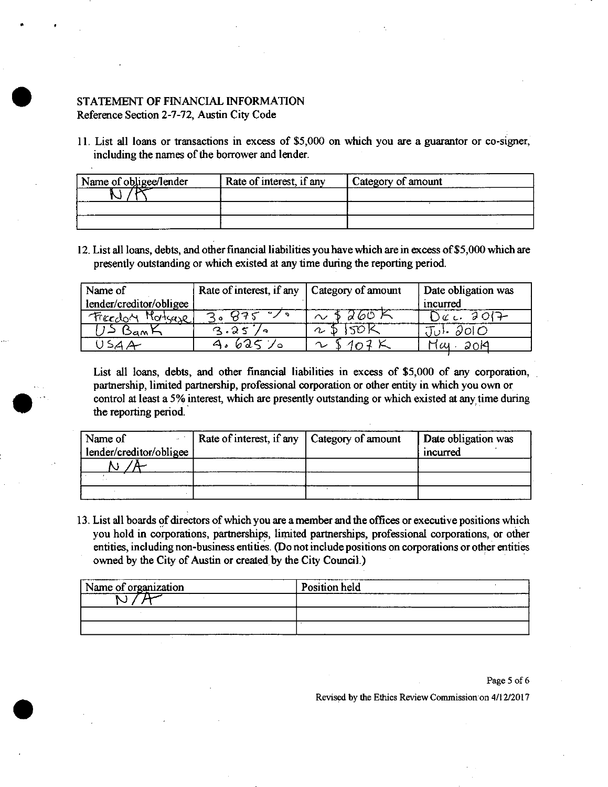# STATEMENT OF FINANCIAL INFORMATION Reference Section 2-7-72, Austin City Code

11. List all loans or transactions in excess of \$5,000 on which you are a guarantor or co-signer, including the names of the borrower and lender.

| Name of obligee/lender | Rate of interest, if any | Category of amount |  |
|------------------------|--------------------------|--------------------|--|
| ∟י                     |                          |                    |  |
|                        |                          |                    |  |
|                        |                          |                    |  |

12. List all loans, debts, and other financial liabilities you have which are in excess of \$5,000 which are presently outstanding or which existed at any time during the reporting period.

| Name of                 | Rate of interest, if any   Category of amount |        | Date obligation was |
|-------------------------|-----------------------------------------------|--------|---------------------|
| lender/creditor/obligee |                                               |        | incurred            |
| Motherse<br>Freedon     |                                               | d60F   | $\mathcal{C}$ or    |
| Dam ⊢                   | $\bullet$                                     | $\sim$ | $\partial$ 이 $C$    |
|                         |                                               | ↷      | Нш<br>2019          |

List all loans, debts, and other financial liabilities in excess of \$5,000 of any corporation, partnership, limited partnership, professional corporation or other entity in which you own or control at least a 5% interest, which are presently outstanding or which existed at any time during the reporting period.

| Name of                 | Rate of interest, if any   Category of amount | Date obligation was |
|-------------------------|-----------------------------------------------|---------------------|
| lender/creditor/obligee |                                               | mcurred             |
|                         |                                               |                     |
|                         |                                               |                     |
|                         |                                               |                     |

13. List all boards of directors of which you are a member and the offices or executive positions which you hold in corporations, partnerships, lirnited partnerships, professional corporations, or other entities, including non-business entities. (Do not include positions on corporations or other entities owned by the City of Austin or created by the City Council.)

| Name of organization | Position held |  |
|----------------------|---------------|--|
|                      |               |  |
|                      |               |  |
|                      |               |  |

Page 5 of 6